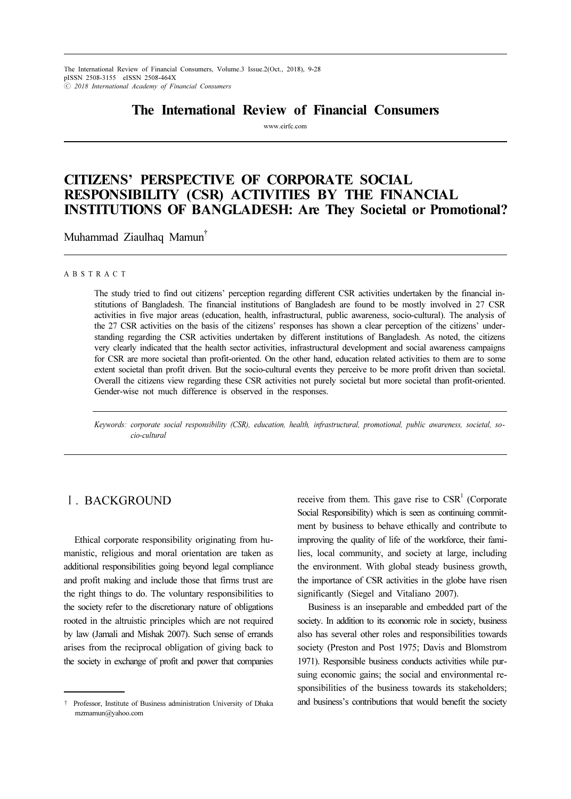The International Review of Financial Consumers, Volume.3 Issue.2(Oct., 2018), 9-28 pISSN 2508-3155 eISSN 2508-464X ⓒ 2018 International Academy of Financial Consumers

# The International Review of Financial Consumers

www.eirfc.com

# CITIZENS' PERSPECTIVE OF CORPORATE SOCIAL RESPONSIBILITY (CSR) ACTIVITIES BY THE FINANCIAL INSTITUTIONS OF BANGLADESH: Are They Societal or Promotional?

Muhammad Ziaulhaq Mamun†

### A B S T R A C T

The study tried to find out citizens' perception regarding different CSR activities undertaken by the financial institutions of Bangladesh. The financial institutions of Bangladesh are found to be mostly involved in 27 CSR activities in five major areas (education, health, infrastructural, public awareness, socio-cultural). The analysis of the 27 CSR activities on the basis of the citizens' responses has shown a clear perception of the citizens' understanding regarding the CSR activities undertaken by different institutions of Bangladesh. As noted, the citizens very clearly indicated that the health sector activities, infrastructural development and social awareness campaigns for CSR are more societal than profit-oriented. On the other hand, education related activities to them are to some extent societal than profit driven. But the socio-cultural events they perceive to be more profit driven than societal. Overall the citizens view regarding these CSR activities not purely societal but more societal than profit-oriented. Gender-wise not much difference is observed in the responses.

Keywords: corporate social responsibility (CSR), education, health, infrastructural, promotional, public awareness, societal, socio-cultural

# Ⅰ. BACKGROUND

Ethical corporate responsibility originating from humanistic, religious and moral orientation are taken as additional responsibilities going beyond legal compliance and profit making and include those that firms trust are the right things to do. The voluntary responsibilities to the society refer to the discretionary nature of obligations rooted in the altruistic principles which are not required by law (Jamali and Mishak 2007). Such sense of errands arises from the reciprocal obligation of giving back to the society in exchange of profit and power that companies

receive from them. This gave rise to  $CSR<sup>1</sup>$  (Corporate Social Responsibility) which is seen as continuing commitment by business to behave ethically and contribute to improving the quality of life of the workforce, their families, local community, and society at large, including the environment. With global steady business growth, the importance of CSR activities in the globe have risen significantly (Siegel and Vitaliano 2007).

Business is an inseparable and embedded part of the society. In addition to its economic role in society, business also has several other roles and responsibilities towards society (Preston and Post 1975; Davis and Blomstrom 1971). Responsible business conducts activities while pursuing economic gains; the social and environmental responsibilities of the business towards its stakeholders; and business's contributions that would benefit the society

<sup>†</sup> Professor, Institute of Business administration University of Dhaka mzmamun@yahoo.com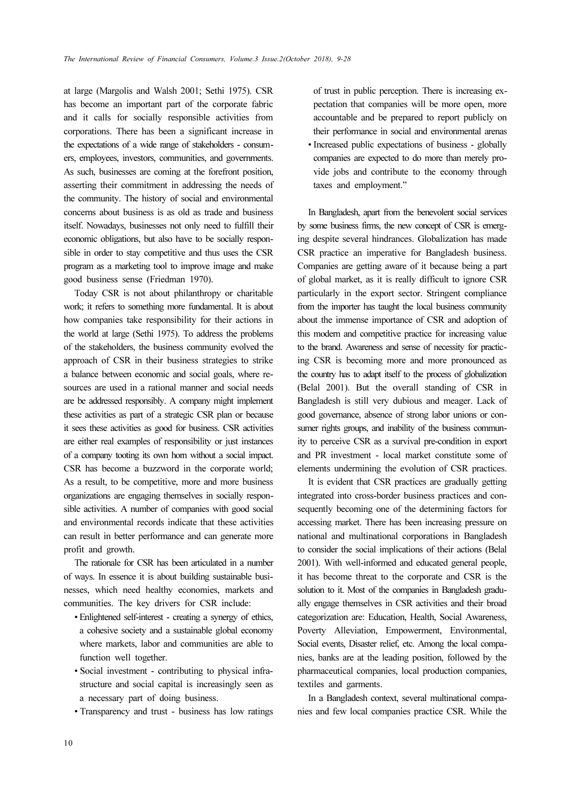at large (Margolis and Walsh 2001; Sethi 1975). CSR has become an important part of the corporate fabric and it calls for socially responsible activities from corporations. There has been a significant increase in the expectations of a wide range of stakeholders - consumers, employees, investors, communities, and governments. As such, businesses are coming at the forefront position, asserting their commitment in addressing the needs of the community. The history of social and environmental concerns about business is as old as trade and business itself. Nowadays, businesses not only need to fulfill their economic obligations, but also have to be socially responsible in order to stay competitive and thus uses the CSR program as a marketing tool to improve image and make good business sense (Friedman 1970).

Today CSR is not about philanthropy or charitable work; it refers to something more fundamental. It is about how companies take responsibility for their actions in the world at large (Sethi 1975). To address the problems of the stakeholders, the business community evolved the approach of CSR in their business strategies to strike a balance between economic and social goals, where resources are used in a rational manner and social needs are be addressed responsibly. A company might implement these activities as part of a strategic CSR plan or because it sees these activities as good for business. CSR activities are either real examples of responsibility or just instances of a company tooting its own horn without a social impact. CSR has become a buzzword in the corporate world; As a result, to be competitive, more and more business organizations are engaging themselves in socially responsible activities. A number of companies with good social and environmental records indicate that these activities can result in better performance and can generate more profit and growth.

The rationale for CSR has been articulated in a number of ways. In essence it is about building sustainable businesses, which need healthy economies, markets and communities. The key drivers for CSR include:

- Enlightened self-interest creating a synergy of ethics, a cohesive society and a sustainable global economy where markets, labor and communities are able to function well together.
- Social investment contributing to physical infrastructure and social capital is increasingly seen as a necessary part of doing business.
- Transparency and trust business has low ratings

of trust in public perception. There is increasing expectation that companies will be more open, more accountable and be prepared to report publicly on their performance in social and environmental arenas • Increased public expectations of business - globally companies are expected to do more than merely provide jobs and contribute to the economy through taxes and employment."

In Bangladesh, apart from the benevolent social services by some business firms, the new concept of CSR is emerging despite several hindrances. Globalization has made CSR practice an imperative for Bangladesh business. Companies are getting aware of it because being a part of global market, as it is really difficult to ignore CSR particularly in the export sector. Stringent compliance from the importer has taught the local business community about the immense importance of CSR and adoption of this modern and competitive practice for increasing value to the brand. Awareness and sense of necessity for practicing CSR is becoming more and more pronounced as the country has to adapt itself to the process of globalization (Belal 2001). But the overall standing of CSR in Bangladesh is still very dubious and meager. Lack of good governance, absence of strong labor unions or consumer rights groups, and inability of the business community to perceive CSR as a survival pre-condition in export and PR investment - local market constitute some of elements undermining the evolution of CSR practices.

It is evident that CSR practices are gradually getting integrated into cross-border business practices and consequently becoming one of the determining factors for accessing market. There has been increasing pressure on national and multinational corporations in Bangladesh to consider the social implications of their actions (Belal 2001). With well-informed and educated general people, it has become threat to the corporate and CSR is the solution to it. Most of the companies in Bangladesh gradually engage themselves in CSR activities and their broad categorization are: Education, Health, Social Awareness, Poverty Alleviation, Empowerment, Environmental, Social events, Disaster relief, etc. Among the local companies, banks are at the leading position, followed by the pharmaceutical companies, local production companies, textiles and garments.

In a Bangladesh context, several multinational companies and few local companies practice CSR. While the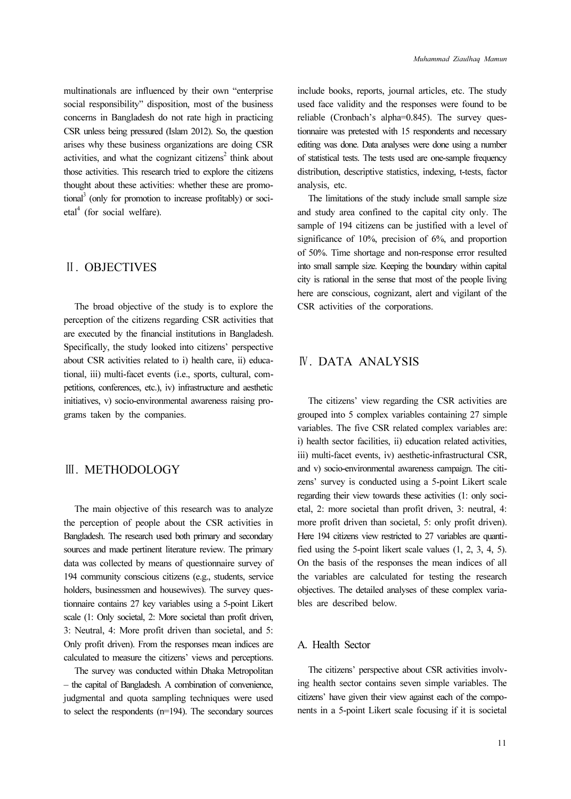multinationals are influenced by their own "enterprise social responsibility" disposition, most of the business concerns in Bangladesh do not rate high in practicing CSR unless being pressured (Islam 2012). So, the question arises why these business organizations are doing CSR activities, and what the cognizant citizens<sup>2</sup> think about those activities. This research tried to explore the citizens thought about these activities: whether these are promotional<sup>3</sup> (only for promotion to increase profitably) or soci $etal<sup>4</sup>$  (for social welfare).

## Ⅱ. OBJECTIVES

The broad objective of the study is to explore the perception of the citizens regarding CSR activities that are executed by the financial institutions in Bangladesh. Specifically, the study looked into citizens' perspective about CSR activities related to i) health care, ii) educational, iii) multi-facet events (i.e., sports, cultural, competitions, conferences, etc.), iv) infrastructure and aesthetic initiatives, v) socio-environmental awareness raising programs taken by the companies.

# Ⅲ. METHODOLOGY

The main objective of this research was to analyze the perception of people about the CSR activities in Bangladesh. The research used both primary and secondary sources and made pertinent literature review. The primary data was collected by means of questionnaire survey of 194 community conscious citizens (e.g., students, service holders, businessmen and housewives). The survey questionnaire contains 27 key variables using a 5-point Likert scale (1: Only societal, 2: More societal than profit driven, 3: Neutral, 4: More profit driven than societal, and 5: Only profit driven). From the responses mean indices are calculated to measure the citizens' views and perceptions.

The survey was conducted within Dhaka Metropolitan – the capital of Bangladesh. A combination of convenience, judgmental and quota sampling techniques were used to select the respondents (n=194). The secondary sources include books, reports, journal articles, etc. The study used face validity and the responses were found to be reliable (Cronbach's alpha=0.845). The survey questionnaire was pretested with 15 respondents and necessary editing was done. Data analyses were done using a number of statistical tests. The tests used are one-sample frequency distribution, descriptive statistics, indexing, t-tests, factor analysis, etc.

The limitations of the study include small sample size and study area confined to the capital city only. The sample of 194 citizens can be justified with a level of significance of 10%, precision of 6%, and proportion of 50%. Time shortage and non-response error resulted into small sample size. Keeping the boundary within capital city is rational in the sense that most of the people living here are conscious, cognizant, alert and vigilant of the CSR activities of the corporations.

## Ⅳ. DATA ANALYSIS

The citizens' view regarding the CSR activities are grouped into 5 complex variables containing 27 simple variables. The five CSR related complex variables are: i) health sector facilities, ii) education related activities, iii) multi-facet events, iv) aesthetic-infrastructural CSR, and v) socio-environmental awareness campaign. The citizens' survey is conducted using a 5-point Likert scale regarding their view towards these activities (1: only societal, 2: more societal than profit driven, 3: neutral, 4: more profit driven than societal, 5: only profit driven). Here 194 citizens view restricted to 27 variables are quantified using the 5-point likert scale values (1, 2, 3, 4, 5). On the basis of the responses the mean indices of all the variables are calculated for testing the research objectives. The detailed analyses of these complex variables are described below.

## A. Health Sector

The citizens' perspective about CSR activities involving health sector contains seven simple variables. The citizens' have given their view against each of the components in a 5-point Likert scale focusing if it is societal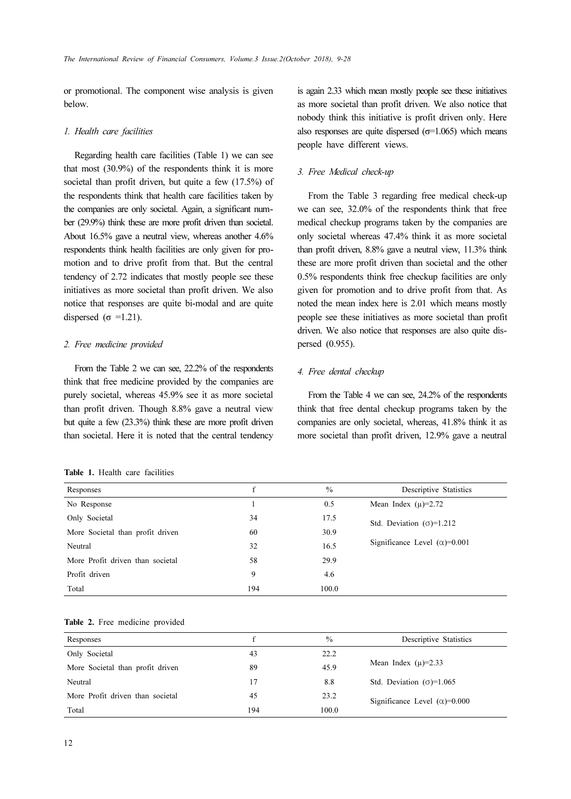or promotional. The component wise analysis is given below.

#### 1. Health care facilities

Regarding health care facilities (Table 1) we can see that most (30.9%) of the respondents think it is more societal than profit driven, but quite a few (17.5%) of the respondents think that health care facilities taken by the companies are only societal. Again, a significant number (29.9%) think these are more profit driven than societal. About 16.5% gave a neutral view, whereas another 4.6% respondents think health facilities are only given for promotion and to drive profit from that. But the central tendency of 2.72 indicates that mostly people see these initiatives as more societal than profit driven. We also notice that responses are quite bi-modal and are quite dispersed ( $\sigma$  =1.21).

### 2. Free medicine provided

From the Table 2 we can see, 22.2% of the respondents think that free medicine provided by the companies are purely societal, whereas 45.9% see it as more societal than profit driven. Though 8.8% gave a neutral view but quite a few (23.3%) think these are more profit driven than societal. Here it is noted that the central tendency

|  |  | <b>Table 1.</b> Health care facilities |
|--|--|----------------------------------------|
|  |  |                                        |

is again 2.33 which mean mostly people see these initiatives as more societal than profit driven. We also notice that nobody think this initiative is profit driven only. Here also responses are quite dispersed ( $\sigma$ =1.065) which means people have different views.

### 3. Free Medical check-up

From the Table 3 regarding free medical check-up we can see, 32.0% of the respondents think that free medical checkup programs taken by the companies are only societal whereas 47.4% think it as more societal than profit driven, 8.8% gave a neutral view, 11.3% think these are more profit driven than societal and the other 0.5% respondents think free checkup facilities are only given for promotion and to drive profit from that. As noted the mean index here is 2.01 which means mostly people see these initiatives as more societal than profit driven. We also notice that responses are also quite dispersed (0.955).

### 4. Free dental checkup

From the Table 4 we can see, 24.2% of the respondents think that free dental checkup programs taken by the companies are only societal, whereas, 41.8% think it as more societal than profit driven, 12.9% gave a neutral

| Responses                        | f   | $\frac{0}{0}$ | Descriptive Statistics                |
|----------------------------------|-----|---------------|---------------------------------------|
| No Response                      |     | 0.5           | Mean Index $(\mu) = 2.72$             |
| Only Societal                    | 34  | 17.5          | Std. Deviation $(\sigma)=1.212$       |
| More Societal than profit driven | 60  | 30.9          |                                       |
| Neutral                          | 32  | 16.5          | Significance Level $(\alpha) = 0.001$ |
| More Profit driven than societal | 58  | 29.9          |                                       |
| Profit driven                    | 9   | 4.6           |                                       |
| Total                            | 194 | 100.0         |                                       |

#### Table 2. Free medicine provided

| Responses                        | £   | $\frac{0}{0}$ | Descriptive Statistics                |
|----------------------------------|-----|---------------|---------------------------------------|
| Only Societal                    | 43  | 22.2          |                                       |
| More Societal than profit driven | 89  | 45.9          | Mean Index $(\mu) = 2.33$             |
| Neutral                          | 17  | 8.8           | Std. Deviation $(\sigma)$ =1.065      |
| More Profit driven than societal | 45  | 23.2          | Significance Level $(\alpha) = 0.000$ |
| Total                            | 194 | 100.0         |                                       |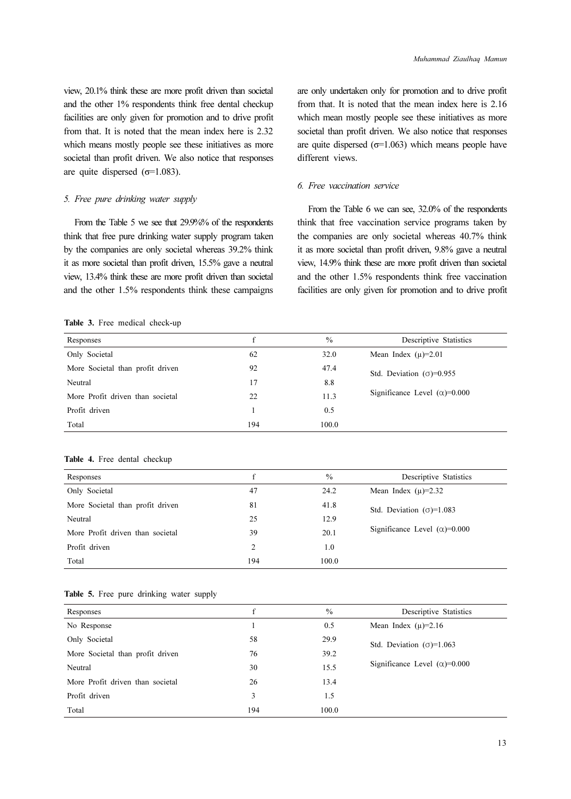view, 20.1% think these are more profit driven than societal and the other 1% respondents think free dental checkup facilities are only given for promotion and to drive profit from that. It is noted that the mean index here is 2.32 which means mostly people see these initiatives as more societal than profit driven. We also notice that responses are quite dispersed ( $\sigma$ =1.083).

### 5. Free pure drinking water supply

From the Table 5 we see that 29.9%% of the respondents think that free pure drinking water supply program taken by the companies are only societal whereas 39.2% think it as more societal than profit driven, 15.5% gave a neutral view, 13.4% think these are more profit driven than societal and the other 1.5% respondents think these campaigns are only undertaken only for promotion and to drive profit from that. It is noted that the mean index here is 2.16 which mean mostly people see these initiatives as more societal than profit driven. We also notice that responses are quite dispersed  $(\sigma=1.063)$  which means people have different views.

### 6. Free vaccination service

From the Table 6 we can see, 32.0% of the respondents think that free vaccination service programs taken by the companies are only societal whereas 40.7% think it as more societal than profit driven, 9.8% gave a neutral view, 14.9% think these are more profit driven than societal and the other 1.5% respondents think free vaccination facilities are only given for promotion and to drive profit

### Table 3. Free medical check-up

| Responses                        | f   | $\frac{0}{0}$ | Descriptive Statistics                |
|----------------------------------|-----|---------------|---------------------------------------|
| Only Societal                    | 62  | 32.0          | Mean Index $(\mu) = 2.01$             |
| More Societal than profit driven | 92  | 47.4          | Std. Deviation $(\sigma) = 0.955$     |
| Neutral                          | 17  | 8.8           |                                       |
| More Profit driven than societal | 22  | 11.3          | Significance Level $(\alpha) = 0.000$ |
| Profit driven                    |     | 0.5           |                                       |
| Total                            | 194 | 100.0         |                                       |

#### Table 4. Free dental checkup

| f   | $\frac{0}{0}$ | Descriptive Statistics                |
|-----|---------------|---------------------------------------|
| 47  | 24.2          | Mean Index $(\mu) = 2.32$             |
| 81  | 41.8          | Std. Deviation $(\sigma)$ =1.083      |
| 25  | 12.9          |                                       |
| 39  | 20.1          | Significance Level $(\alpha) = 0.000$ |
| 2   | 1.0           |                                       |
| 194 | 100.0         |                                       |
|     |               |                                       |

|  |  | Table 5. Free pure drinking water supply |  |
|--|--|------------------------------------------|--|
|  |  |                                          |  |

| Responses                        | f   | $\frac{0}{0}$ | Descriptive Statistics                |
|----------------------------------|-----|---------------|---------------------------------------|
| No Response                      |     | 0.5           | Mean Index $(\mu) = 2.16$             |
| Only Societal                    | 58  | 29.9          | Std. Deviation $(\sigma)$ =1.063      |
| More Societal than profit driven | 76  | 39.2          |                                       |
| Neutral                          | 30  | 15.5          | Significance Level $(\alpha) = 0.000$ |
| More Profit driven than societal | 26  | 13.4          |                                       |
| Profit driven                    | 3   | 1.5           |                                       |
| Total                            | 194 | 100.0         |                                       |
|                                  |     |               |                                       |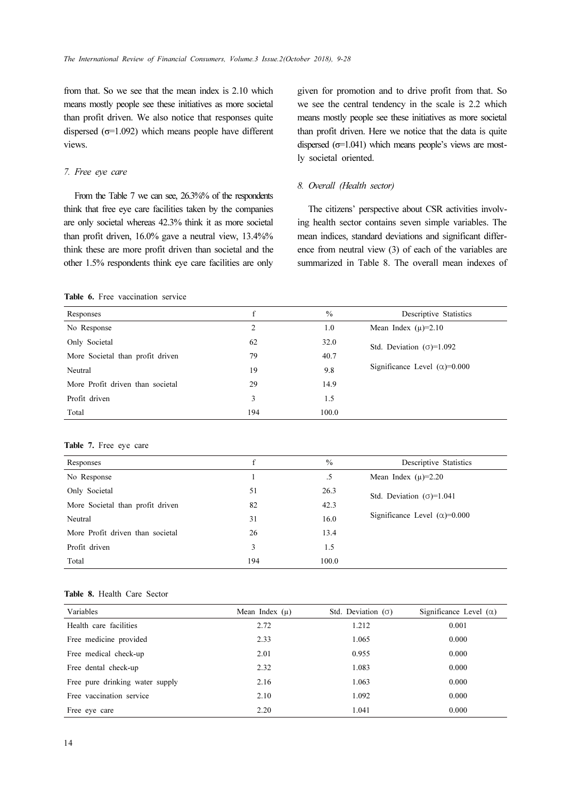from that. So we see that the mean index is 2.10 which means mostly people see these initiatives as more societal than profit driven. We also notice that responses quite dispersed  $(\sigma=1.092)$  which means people have different views.

### 7. Free eye care

From the Table 7 we can see, 26.3%% of the respondents think that free eye care facilities taken by the companies are only societal whereas 42.3% think it as more societal than profit driven, 16.0% gave a neutral view, 13.4%% think these are more profit driven than societal and the other 1.5% respondents think eye care facilities are only given for promotion and to drive profit from that. So we see the central tendency in the scale is 2.2 which means mostly people see these initiatives as more societal than profit driven. Here we notice that the data is quite dispersed  $(\sigma=1.041)$  which means people's views are mostly societal oriented.

### 8. Overall (Health sector)

The citizens' perspective about CSR activities involving health sector contains seven simple variables. The mean indices, standard deviations and significant difference from neutral view (3) of each of the variables are summarized in Table 8. The overall mean indexes of

### Table 6. Free vaccination service

| Responses                        | f   | $\frac{0}{0}$ | Descriptive Statistics                |
|----------------------------------|-----|---------------|---------------------------------------|
| No Response                      | 2   | 1.0           | Mean Index $(\mu)=2.10$               |
| Only Societal                    | 62  | 32.0          | Std. Deviation $(\sigma)=1.092$       |
| More Societal than profit driven | 79  | 40.7          |                                       |
| Neutral                          | 19  | 9.8           | Significance Level $(\alpha) = 0.000$ |
| More Profit driven than societal | 29  | 14.9          |                                       |
| Profit driven                    | 3   | 1.5           |                                       |
| Total                            | 194 | 100.0         |                                       |

### Table 7. Free eye care

| Responses                        | f   | $\frac{0}{0}$ | Descriptive Statistics                |
|----------------------------------|-----|---------------|---------------------------------------|
| No Response                      |     | $.5\,$        | Mean Index $(\mu) = 2.20$             |
| Only Societal                    | 51  | 26.3          | Std. Deviation $(\sigma)=1.041$       |
| More Societal than profit driven | 82  | 42.3          |                                       |
| Neutral                          | 31  | 16.0          | Significance Level $(\alpha) = 0.000$ |
| More Profit driven than societal | 26  | 13.4          |                                       |
| Profit driven                    | 3   | 1.5           |                                       |
| Total                            | 194 | 100.0         |                                       |
|                                  |     |               |                                       |

### Table 8. Health Care Sector

| Variables                       | Mean Index $(\mu)$ | Std. Deviation $(\sigma)$ | Significance Level $(\alpha)$ |
|---------------------------------|--------------------|---------------------------|-------------------------------|
| Health care facilities          | 2.72               | 1.212                     | 0.001                         |
| Free medicine provided          | 2.33               | 1.065                     | 0.000                         |
| Free medical check-up           | 2.01               | 0.955                     | 0.000                         |
| Free dental check-up            | 2.32               | 1.083                     | 0.000                         |
| Free pure drinking water supply | 2.16               | 1.063                     | 0.000                         |
| Free vaccination service        | 2.10               | 1.092                     | 0.000                         |
| Free eye care                   | 2.20               | 1.041                     | 0.000                         |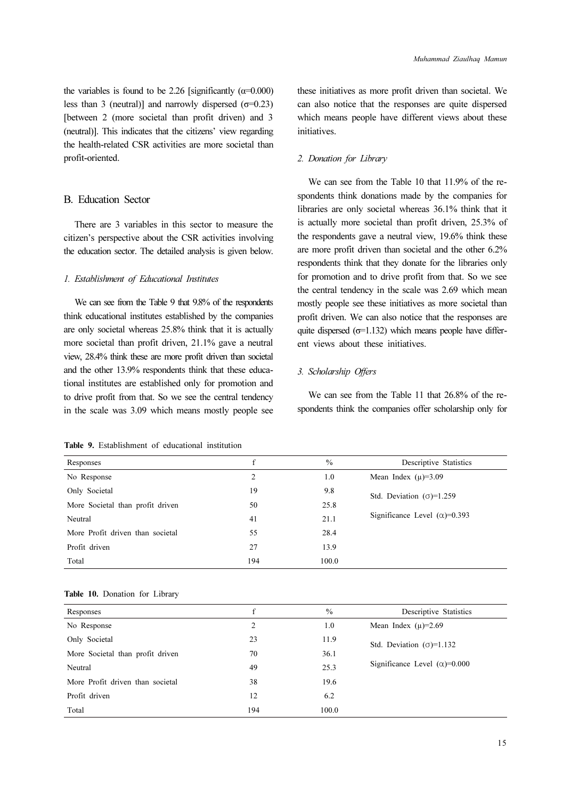the variables is found to be 2.26 [significantly  $(\alpha=0.000)$ ] less than 3 (neutral)] and narrowly dispersed ( $\sigma$ =0.23) [between 2 (more societal than profit driven) and 3 (neutral)]. This indicates that the citizens' view regarding the health-related CSR activities are more societal than profit-oriented.

### B. Education Sector

There are 3 variables in this sector to measure the citizen's perspective about the CSR activities involving the education sector. The detailed analysis is given below.

### 1. Establishment of Educational Institutes

We can see from the Table 9 that 9.8% of the respondents think educational institutes established by the companies are only societal whereas 25.8% think that it is actually more societal than profit driven, 21.1% gave a neutral view, 28.4% think these are more profit driven than societal and the other 13.9% respondents think that these educational institutes are established only for promotion and to drive profit from that. So we see the central tendency in the scale was 3.09 which means mostly people see these initiatives as more profit driven than societal. We can also notice that the responses are quite dispersed which means people have different views about these initiatives.

### 2. Donation for Library

We can see from the Table 10 that 11.9% of the respondents think donations made by the companies for libraries are only societal whereas 36.1% think that it is actually more societal than profit driven, 25.3% of the respondents gave a neutral view, 19.6% think these are more profit driven than societal and the other 6.2% respondents think that they donate for the libraries only for promotion and to drive profit from that. So we see the central tendency in the scale was 2.69 which mean mostly people see these initiatives as more societal than profit driven. We can also notice that the responses are quite dispersed  $(\sigma=1.132)$  which means people have different views about these initiatives.

### 3. Scholarship Offers

We can see from the Table 11 that 26.8% of the respondents think the companies offer scholarship only for

| Responses                        | f   | $\frac{0}{0}$ | Descriptive Statistics               |
|----------------------------------|-----|---------------|--------------------------------------|
| No Response                      | 2   | 1.0           | Mean Index $(\mu) = 3.09$            |
| Only Societal                    | 19  | 9.8           | Std. Deviation $(\sigma)$ =1.259     |
| More Societal than profit driven | 50  | 25.8          |                                      |
| Neutral                          | 41  | 21.1          | Significance Level $(\alpha)$ =0.393 |
| More Profit driven than societal | 55  | 28.4          |                                      |
| Profit driven                    | 27  | 13.9          |                                      |
| Total                            | 194 | 100.0         |                                      |
|                                  |     |               |                                      |

Table 9. Establishment of educational institution

|  | Table 10. Donation for Library |  |
|--|--------------------------------|--|
|  |                                |  |

| Responses                        | f   | $\frac{0}{0}$ | Descriptive Statistics                |
|----------------------------------|-----|---------------|---------------------------------------|
| No Response                      | 2   | 1.0           | Mean Index $(\mu) = 2.69$             |
| Only Societal                    | 23  | 11.9          | Std. Deviation $(\sigma)=1.132$       |
| More Societal than profit driven | 70  | 36.1          |                                       |
| Neutral                          | 49  | 25.3          | Significance Level $(\alpha) = 0.000$ |
| More Profit driven than societal | 38  | 19.6          |                                       |
| Profit driven                    | 12  | 6.2           |                                       |
| Total                            | 194 | 100.0         |                                       |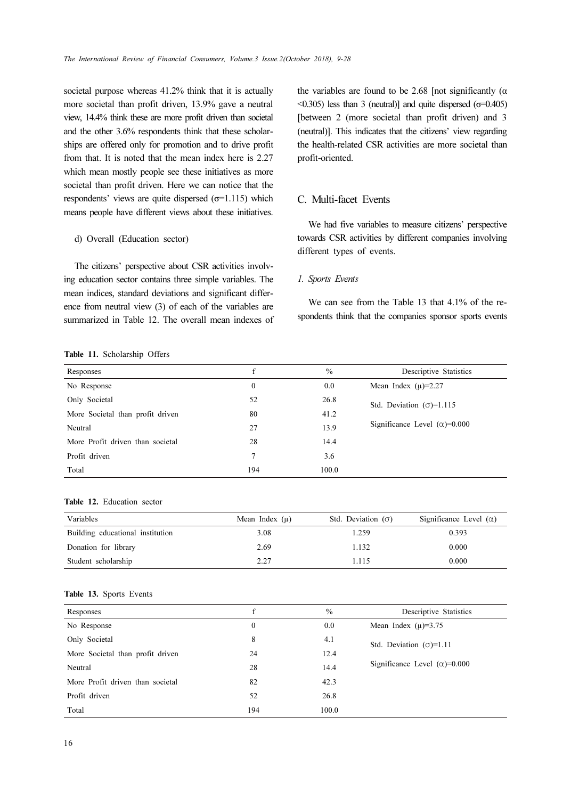societal purpose whereas 41.2% think that it is actually more societal than profit driven, 13.9% gave a neutral view, 14.4% think these are more profit driven than societal and the other 3.6% respondents think that these scholarships are offered only for promotion and to drive profit from that. It is noted that the mean index here is 2.27 which mean mostly people see these initiatives as more societal than profit driven. Here we can notice that the respondents' views are quite dispersed  $(\sigma=1.115)$  which means people have different views about these initiatives.

### d) Overall (Education sector)

The citizens' perspective about CSR activities involving education sector contains three simple variables. The mean indices, standard deviations and significant difference from neutral view (3) of each of the variables are summarized in Table 12. The overall mean indexes of

Table 11. Scholarship Offers

the variables are found to be 2.68 [not significantly  $(\alpha$  $\leq$ 0.305) less than 3 (neutral)] and quite dispersed ( $\sigma$ =0.405) [between 2 (more societal than profit driven) and 3 (neutral)]. This indicates that the citizens' view regarding the health-related CSR activities are more societal than profit-oriented.

### C. Multi-facet Events

We had five variables to measure citizens' perspective towards CSR activities by different companies involving different types of events.

### 1. Sports Events

We can see from the Table 13 that 4.1% of the respondents think that the companies sponsor sports events

| Responses                        | f   | $\frac{0}{0}$ | Descriptive Statistics                |
|----------------------------------|-----|---------------|---------------------------------------|
| No Response                      | 0   | 0.0           | Mean Index $(\mu) = 2.27$             |
| Only Societal                    | 52  | 26.8          | Std. Deviation $(\sigma)$ =1.115      |
| More Societal than profit driven | 80  | 41.2          |                                       |
| Neutral                          | 27  | 13.9          | Significance Level $(\alpha) = 0.000$ |
| More Profit driven than societal | 28  | 14.4          |                                       |
| Profit driven                    | 7   | 3.6           |                                       |
| Total                            | 194 | 100.0         |                                       |

### Table 12. Education sector

| Variables                        | Mean Index $(\mu)$ | Std. Deviation $(\sigma)$ | Significance Level $(\alpha)$ |
|----------------------------------|--------------------|---------------------------|-------------------------------|
| Building educational institution | 3.08               | 1.259                     | 0.393                         |
| Donation for library             | 2.69               | 1.132                     | 0.000                         |
| Student scholarship              | 2.27               | 1.115                     | 0.000                         |

### Table 13. Sports Events

| Responses                        | f        | $\frac{0}{0}$ | Descriptive Statistics               |
|----------------------------------|----------|---------------|--------------------------------------|
| No Response                      | $\Omega$ | 0.0           | Mean Index $(\mu) = 3.75$            |
| Only Societal                    | 8        | 4.1           | Std. Deviation $(\sigma)=1.11$       |
| More Societal than profit driven | 24       | 12.4          |                                      |
| Neutral                          | 28       | 14.4          | Significance Level $(\alpha)$ =0.000 |
| More Profit driven than societal | 82       | 42.3          |                                      |
| Profit driven                    | 52       | 26.8          |                                      |
| Total                            | 194      | 100.0         |                                      |
|                                  |          |               |                                      |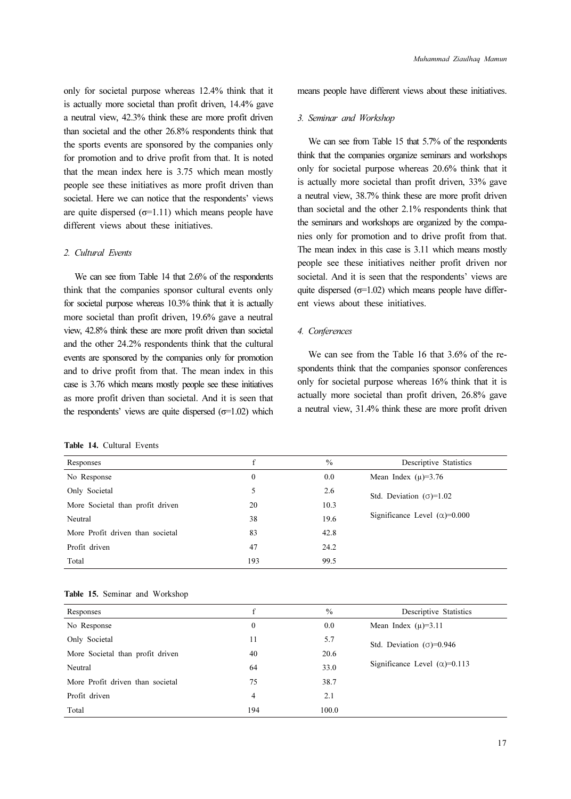only for societal purpose whereas 12.4% think that it is actually more societal than profit driven, 14.4% gave a neutral view, 42.3% think these are more profit driven than societal and the other 26.8% respondents think that the sports events are sponsored by the companies only for promotion and to drive profit from that. It is noted that the mean index here is 3.75 which mean mostly people see these initiatives as more profit driven than societal. Here we can notice that the respondents' views are quite dispersed  $(\sigma=1.11)$  which means people have different views about these initiatives.

#### 2. Cultural Events

We can see from Table 14 that 2.6% of the respondents think that the companies sponsor cultural events only for societal purpose whereas 10.3% think that it is actually more societal than profit driven, 19.6% gave a neutral view, 42.8% think these are more profit driven than societal and the other 24.2% respondents think that the cultural events are sponsored by the companies only for promotion and to drive profit from that. The mean index in this case is 3.76 which means mostly people see these initiatives as more profit driven than societal. And it is seen that the respondents' views are quite dispersed  $(σ=1.02)$  which

|  | <b>Table 14.</b> Cultural Events |  |
|--|----------------------------------|--|
|  |                                  |  |

means people have different views about these initiatives.

### 3. Seminar and Workshop

We can see from Table 15 that 5.7% of the respondents think that the companies organize seminars and workshops only for societal purpose whereas 20.6% think that it is actually more societal than profit driven, 33% gave a neutral view, 38.7% think these are more profit driven than societal and the other 2.1% respondents think that the seminars and workshops are organized by the companies only for promotion and to drive profit from that. The mean index in this case is 3.11 which means mostly people see these initiatives neither profit driven nor societal. And it is seen that the respondents' views are quite dispersed  $(\sigma=1.02)$  which means people have different views about these initiatives.

### 4. Conferences

We can see from the Table 16 that 3.6% of the respondents think that the companies sponsor conferences only for societal purpose whereas 16% think that it is actually more societal than profit driven, 26.8% gave a neutral view, 31.4% think these are more profit driven

| Responses                        | f        | $\frac{0}{0}$ | Descriptive Statistics               |
|----------------------------------|----------|---------------|--------------------------------------|
| No Response                      | $\bf{0}$ | 0.0           | Mean Index $(\mu) = 3.76$            |
| Only Societal                    | 5        | 2.6           | Std. Deviation $(\sigma)$ =1.02      |
| More Societal than profit driven | 20       | 10.3          |                                      |
| Neutral                          | 38       | 19.6          | Significance Level $(\alpha)$ =0.000 |
| More Profit driven than societal | 83       | 42.8          |                                      |
| Profit driven                    | 47       | 24.2          |                                      |
| Total                            | 193      | 99.5          |                                      |

|  |  | Table 15. Seminar and Workshop |
|--|--|--------------------------------|
|  |  |                                |

| Responses                        | f            | $\frac{0}{0}$ | Descriptive Statistics              |
|----------------------------------|--------------|---------------|-------------------------------------|
| No Response                      | $\mathbf{0}$ | 0.0           | Mean Index $(\mu)=3.11$             |
| Only Societal                    | 11           | 5.7           | Std. Deviation $(\sigma) = 0.946$   |
| More Societal than profit driven | 40           | 20.6          |                                     |
| Neutral                          | 64           | 33.0          | Significance Level $(\alpha)=0.113$ |
| More Profit driven than societal | 75           | 38.7          |                                     |
| Profit driven                    | 4            | 2.1           |                                     |
| Total                            | 194          | 100.0         |                                     |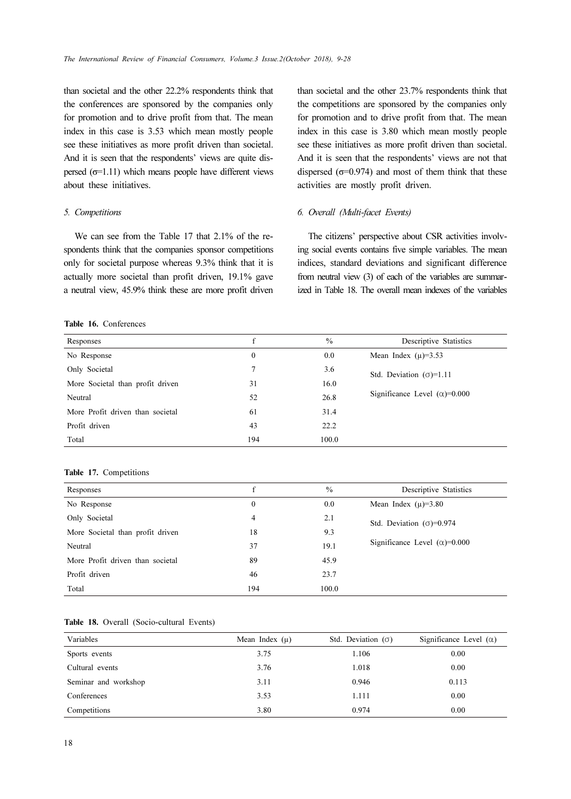than societal and the other 22.2% respondents think that the conferences are sponsored by the companies only for promotion and to drive profit from that. The mean index in this case is 3.53 which mean mostly people see these initiatives as more profit driven than societal. And it is seen that the respondents' views are quite dispersed  $(σ=1.11)$  which means people have different views about these initiatives.

#### 5. Competitions

We can see from the Table 17 that 2.1% of the respondents think that the companies sponsor competitions only for societal purpose whereas 9.3% think that it is actually more societal than profit driven, 19.1% gave a neutral view, 45.9% think these are more profit driven

### Table 16. Conferences

than societal and the other 23.7% respondents think that the competitions are sponsored by the companies only for promotion and to drive profit from that. The mean index in this case is 3.80 which mean mostly people see these initiatives as more profit driven than societal. And it is seen that the respondents' views are not that dispersed ( $\sigma$ =0.974) and most of them think that these activities are mostly profit driven.

### 6. Overall (Multi-facet Events)

The citizens' perspective about CSR activities involving social events contains five simple variables. The mean indices, standard deviations and significant difference from neutral view (3) of each of the variables are summarized in Table 18. The overall mean indexes of the variables

| Responses                        | f            | $\frac{0}{0}$ | Descriptive Statistics                |
|----------------------------------|--------------|---------------|---------------------------------------|
| No Response                      | $\mathbf{0}$ | 0.0           | Mean Index $(\mu) = 3.53$             |
| Only Societal                    | 7            | 3.6           | Std. Deviation $(\sigma)=1.11$        |
| More Societal than profit driven | 31           | 16.0          |                                       |
| Neutral                          | 52           | 26.8          | Significance Level $(\alpha) = 0.000$ |
| More Profit driven than societal | 61           | 31.4          |                                       |
| Profit driven                    | 43           | 22.2          |                                       |
| Total                            | 194          | 100.0         |                                       |
|                                  |              |               |                                       |

#### Table 17. Competitions

| Responses                        | f   | $\frac{0}{0}$ | Descriptive Statistics                |
|----------------------------------|-----|---------------|---------------------------------------|
| No Response                      | 0   | 0.0           | Mean Index $(\mu)=3.80$               |
| Only Societal                    | 4   | 2.1           | Std. Deviation $(σ)=0.974$            |
| More Societal than profit driven | 18  | 9.3           |                                       |
| Neutral                          | 37  | 19.1          | Significance Level $(\alpha) = 0.000$ |
| More Profit driven than societal | 89  | 45.9          |                                       |
| Profit driven                    | 46  | 23.7          |                                       |
| Total                            | 194 | 100.0         |                                       |

|  | Table 18. Overall (Socio-cultural Events) |  |
|--|-------------------------------------------|--|
|  |                                           |  |

| Variables            | Mean Index $(\mu)$ | Std. Deviation $(\sigma)$ | Significance Level $(\alpha)$ |
|----------------------|--------------------|---------------------------|-------------------------------|
| Sports events        | 3.75               | 1.106                     | 0.00                          |
| Cultural events      | 3.76               | 1.018                     | 0.00                          |
| Seminar and workshop | 3.11               | 0.946                     | 0.113                         |
| Conferences          | 3.53               | 1.111                     | 0.00                          |
| Competitions         | 3.80               | 0.974                     | 0.00                          |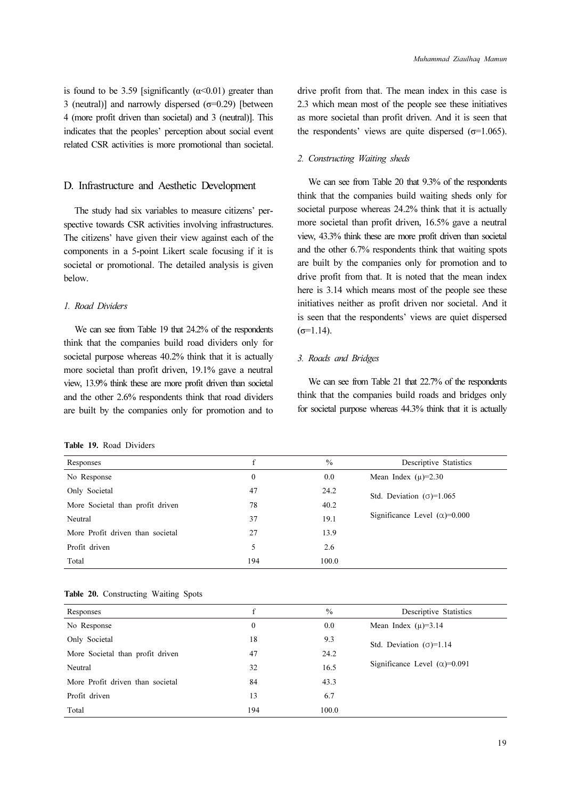is found to be 3.59 [significantly  $(\alpha \le 0.01)$  greater than 3 (neutral)] and narrowly dispersed  $(σ=0.29)$  [between 4 (more profit driven than societal) and 3 (neutral)]. This indicates that the peoples' perception about social event related CSR activities is more promotional than societal.

### D. Infrastructure and Aesthetic Development

The study had six variables to measure citizens' perspective towards CSR activities involving infrastructures. The citizens' have given their view against each of the components in a 5-point Likert scale focusing if it is societal or promotional. The detailed analysis is given below.

### 1. Road Dividers

We can see from Table 19 that 24.2% of the respondents think that the companies build road dividers only for societal purpose whereas 40.2% think that it is actually more societal than profit driven, 19.1% gave a neutral view, 13.9% think these are more profit driven than societal and the other 2.6% respondents think that road dividers are built by the companies only for promotion and to drive profit from that. The mean index in this case is 2.3 which mean most of the people see these initiatives as more societal than profit driven. And it is seen that the respondents' views are quite dispersed ( $\sigma$ =1.065).

### 2. Constructing Waiting sheds

We can see from Table 20 that 9.3% of the respondents think that the companies build waiting sheds only for societal purpose whereas 24.2% think that it is actually more societal than profit driven, 16.5% gave a neutral view, 43.3% think these are more profit driven than societal and the other 6.7% respondents think that waiting spots are built by the companies only for promotion and to drive profit from that. It is noted that the mean index here is 3.14 which means most of the people see these initiatives neither as profit driven nor societal. And it is seen that the respondents' views are quiet dispersed  $(σ=1.14)$ .

### 3. Roads and Bridges

We can see from Table 21 that 22.7% of the respondents think that the companies build roads and bridges only for societal purpose whereas 44.3% think that it is actually

|  | Table 19. Road Dividers |
|--|-------------------------|
|  |                         |

| Responses                        | f   | $\frac{0}{0}$ | Descriptive Statistics                |
|----------------------------------|-----|---------------|---------------------------------------|
| No Response                      | 0   | 0.0           | Mean Index $(\mu) = 2.30$             |
| Only Societal                    | 47  | 24.2          | Std. Deviation $(\sigma)$ =1.065      |
| More Societal than profit driven | 78  | 40.2          |                                       |
| Neutral                          | 37  | 19.1          | Significance Level $(\alpha) = 0.000$ |
| More Profit driven than societal | 27  | 13.9          |                                       |
| Profit driven                    | 5   | 2.6           |                                       |
| Total                            | 194 | 100.0         |                                       |

|  | Table 20. Constructing Waiting Spots |  |
|--|--------------------------------------|--|
|  |                                      |  |

| Responses                        |              | $\frac{0}{0}$ | Descriptive Statistics                |
|----------------------------------|--------------|---------------|---------------------------------------|
| No Response                      | $\mathbf{0}$ | 0.0           | Mean Index $(\mu)=3.14$               |
| Only Societal                    | 18           | 9.3           | Std. Deviation $(\sigma)=1.14$        |
| More Societal than profit driven | 47           | 24.2          |                                       |
| Neutral                          | 32           | 16.5          | Significance Level $(\alpha) = 0.091$ |
| More Profit driven than societal | 84           | 43.3          |                                       |
| Profit driven                    | 13           | 6.7           |                                       |
| Total                            | 194          | 100.0         |                                       |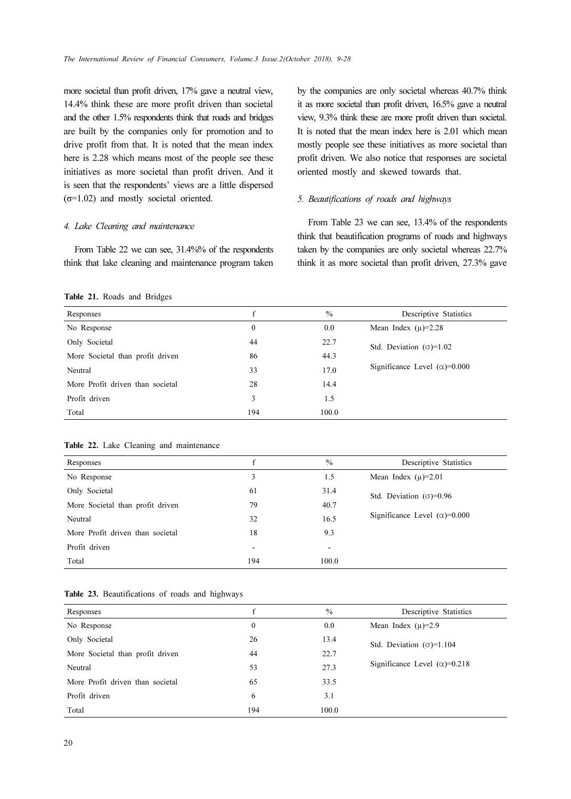more societal than profit driven, 17% gave a neutral view, 14.4% think these are more profit driven than societal and the other 1.5% respondents think that roads and bridges are built by the companies only for promotion and to drive profit from that. It is noted that the mean index here is 2.28 which means most of the people see these initiatives as more societal than profit driven. And it is seen that the respondents' views are a little dispersed  $(\sigma=1.02)$  and mostly societal oriented.

### 4. Lake Cleaning and maintenance

From Table 22 we can see, 31.4%% of the respondents think that lake cleaning and maintenance program taken by the companies are only societal whereas 40.7% think it as more societal than profit driven, 16.5% gave a neutral view, 9.3% think these are more profit driven than societal. It is noted that the mean index here is 2.01 which mean mostly people see these initiatives as more societal than profit driven. We also notice that responses are societal oriented mostly and skewed towards that.

### 5. Beautifications of roads and highways

From Table 23 we can see, 13.4% of the respondents think that beautification programs of roads and highways taken by the companies are only societal whereas 22.7% think it as more societal than profit driven, 27.3% gave

### Table 21. Roads and Bridges

| Responses                        | f            | $\%$  | Descriptive Statistics                |
|----------------------------------|--------------|-------|---------------------------------------|
| No Response                      | $\mathbf{0}$ | 0.0   | Mean Index $(\mu) = 2.28$             |
| Only Societal                    | 44           | 22.7  | Std. Deviation $(\sigma)=1.02$        |
| More Societal than profit driven | 86           | 44.3  |                                       |
| Neutral                          | 33           | 17.0  | Significance Level $(\alpha) = 0.000$ |
| More Profit driven than societal | 28           | 14.4  |                                       |
| Profit driven                    | 3            | 1.5   |                                       |
| Total                            | 194          | 100.0 |                                       |

|  |  | Table 22. Lake Cleaning and maintenance |
|--|--|-----------------------------------------|
|  |  |                                         |

| Responses                        | f                        | $\frac{0}{0}$            | Descriptive Statistics               |
|----------------------------------|--------------------------|--------------------------|--------------------------------------|
| No Response                      | 3                        | 1.5                      | Mean Index $(\mu) = 2.01$            |
| Only Societal                    | 61                       | 31.4                     | Std. Deviation $(\sigma) = 0.96$     |
| More Societal than profit driven | 79                       | 40.7                     |                                      |
| Neutral                          | 32                       | 16.5                     | Significance Level $(\alpha)$ =0.000 |
| More Profit driven than societal | 18                       | 9.3                      |                                      |
| Profit driven                    | $\overline{\phantom{a}}$ | $\overline{\phantom{0}}$ |                                      |
| Total                            | 194                      | 100.0                    |                                      |
|                                  |                          |                          |                                      |

|  | Table 23. Beautifications of roads and highways |  |  |
|--|-------------------------------------------------|--|--|
|  |                                                 |  |  |

| Responses                        | f   | $\%$  | Descriptive Statistics               |
|----------------------------------|-----|-------|--------------------------------------|
| No Response                      | 0   | 0.0   | Mean Index $(\mu) = 2.9$             |
| Only Societal                    | 26  | 13.4  | Std. Deviation $(\sigma)=1.104$      |
| More Societal than profit driven | 44  | 22.7  |                                      |
| Neutral                          | 53  | 27.3  | Significance Level $(\alpha)$ =0.218 |
| More Profit driven than societal | 65  | 33.5  |                                      |
| Profit driven                    | 6   | 3.1   |                                      |
| Total                            | 194 | 100.0 |                                      |
|                                  |     |       |                                      |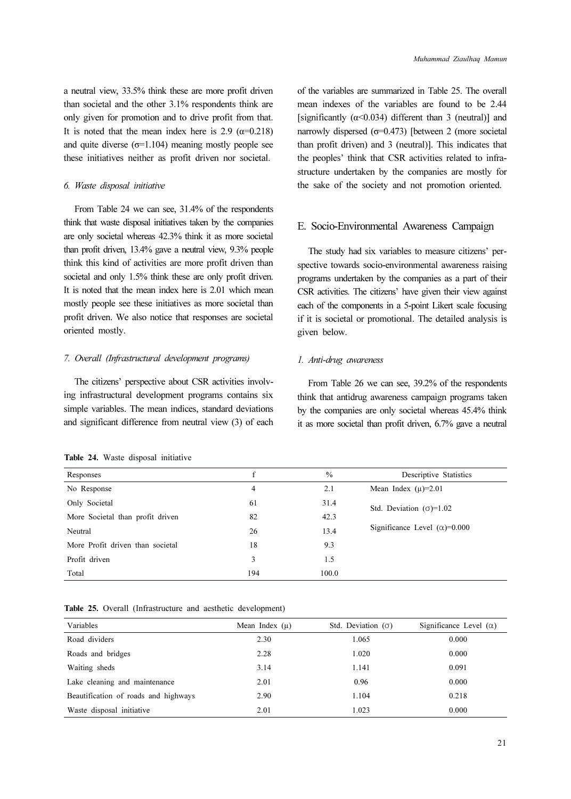a neutral view, 33.5% think these are more profit driven than societal and the other 3.1% respondents think are only given for promotion and to drive profit from that. It is noted that the mean index here is 2.9 ( $\alpha$ =0.218) and quite diverse  $(\sigma=1.104)$  meaning mostly people see these initiatives neither as profit driven nor societal.

### 6. Waste disposal initiative

From Table 24 we can see, 31.4% of the respondents think that waste disposal initiatives taken by the companies are only societal whereas 42.3% think it as more societal than profit driven, 13.4% gave a neutral view, 9.3% people think this kind of activities are more profit driven than societal and only 1.5% think these are only profit driven. It is noted that the mean index here is 2.01 which mean mostly people see these initiatives as more societal than profit driven. We also notice that responses are societal oriented mostly.

### 7. Overall (Infrastructural development programs)

The citizens' perspective about CSR activities involving infrastructural development programs contains six simple variables. The mean indices, standard deviations and significant difference from neutral view (3) of each

of the variables are summarized in Table 25. The overall mean indexes of the variables are found to be 2.44 [significantly  $(\alpha < 0.034)$  different than 3 (neutral)] and narrowly dispersed  $(\sigma=0.473)$  [between 2 (more societal than profit driven) and 3 (neutral)]. This indicates that the peoples' think that CSR activities related to infrastructure undertaken by the companies are mostly for the sake of the society and not promotion oriented.

## E. Socio-Environmental Awareness Campaign

The study had six variables to measure citizens' perspective towards socio-environmental awareness raising programs undertaken by the companies as a part of their CSR activities. The citizens' have given their view against each of the components in a 5-point Likert scale focusing if it is societal or promotional. The detailed analysis is given below.

### 1. Anti-drug awareness

From Table 26 we can see, 39.2% of the respondents think that antidrug awareness campaign programs taken by the companies are only societal whereas 45.4% think it as more societal than profit driven, 6.7% gave a neutral

| Responses                        | f   | $\frac{0}{0}$ | Descriptive Statistics                |
|----------------------------------|-----|---------------|---------------------------------------|
| No Response                      | 4   | 2.1           | Mean Index $(\mu) = 2.01$             |
| Only Societal                    | 61  | 31.4          | Std. Deviation $(\sigma)=1.02$        |
| More Societal than profit driven | 82  | 42.3          |                                       |
| Neutral                          | 26  | 13.4          | Significance Level $(\alpha) = 0.000$ |
| More Profit driven than societal | 18  | 9.3           |                                       |
| Profit driven                    | 3   | 1.5           |                                       |
| Total                            | 194 | 100.0         |                                       |
|                                  |     |               |                                       |

Table 24. Waste disposal initiative

Table 25. Overall (Infrastructure and aesthetic development)

| Variables                            | Mean Index $(\mu)$ | Std. Deviation $(\sigma)$ | Significance Level $(\alpha)$ |
|--------------------------------------|--------------------|---------------------------|-------------------------------|
| Road dividers                        | 2.30               | 1.065                     | 0.000                         |
| Roads and bridges                    | 2.28               | 1.020                     | 0.000                         |
| Waiting sheds                        | 3.14               | 1.141                     | 0.091                         |
| Lake cleaning and maintenance        | 2.01               | 0.96                      | 0.000                         |
| Beautification of roads and highways | 2.90               | 1.104                     | 0.218                         |
| Waste disposal initiative            | 2.01               | 1.023                     | 0.000                         |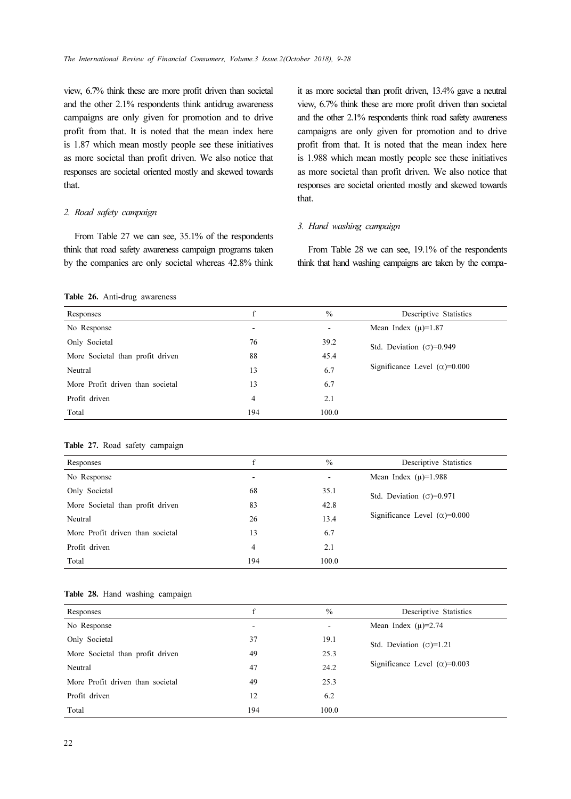view, 6.7% think these are more profit driven than societal and the other 2.1% respondents think antidrug awareness campaigns are only given for promotion and to drive profit from that. It is noted that the mean index here is 1.87 which mean mostly people see these initiatives as more societal than profit driven. We also notice that responses are societal oriented mostly and skewed towards that.

### 2. Road safety campaign

From Table 27 we can see, 35.1% of the respondents think that road safety awareness campaign programs taken by the companies are only societal whereas 42.8% think it as more societal than profit driven, 13.4% gave a neutral view, 6.7% think these are more profit driven than societal and the other 2.1% respondents think road safety awareness campaigns are only given for promotion and to drive profit from that. It is noted that the mean index here is 1.988 which mean mostly people see these initiatives as more societal than profit driven. We also notice that responses are societal oriented mostly and skewed towards that.

### 3. Hand washing campaign

From Table 28 we can see, 19.1% of the respondents think that hand washing campaigns are taken by the compa-

### Table 26. Anti-drug awareness

| Responses                        | f                        | $\frac{0}{0}$ | Descriptive Statistics               |
|----------------------------------|--------------------------|---------------|--------------------------------------|
| No Response                      | $\overline{\phantom{a}}$ |               | Mean Index $(\mu)$ =1.87             |
| Only Societal                    | 76                       | 39.2          | Std. Deviation $(\sigma) = 0.949$    |
| More Societal than profit driven | 88                       | 45.4          |                                      |
| Neutral                          | 13                       | 6.7           | Significance Level $(\alpha)$ =0.000 |
| More Profit driven than societal | 13                       | 6.7           |                                      |
| Profit driven                    | 4                        | 2.1           |                                      |
| Total                            | 194                      | 100.0         |                                      |

#### Table 27. Road safety campaign

| Responses                        | f   | $\frac{0}{0}$ | Descriptive Statistics               |
|----------------------------------|-----|---------------|--------------------------------------|
| No Response                      |     |               | Mean Index $(\mu)$ =1.988            |
| Only Societal                    | 68  | 35.1          | Std. Deviation $(\sigma) = 0.971$    |
| More Societal than profit driven | 83  | 42.8          |                                      |
| Neutral                          | 26  | 13.4          | Significance Level $(\alpha)$ =0.000 |
| More Profit driven than societal | 13  | 6.7           |                                      |
| Profit driven                    | 4   | 2.1           |                                      |
| Total                            | 194 | 100.0         |                                      |
|                                  |     |               |                                      |

### Table 28. Hand washing campaign

| Responses                        | f   | $\frac{0}{0}$ | Descriptive Statistics                |
|----------------------------------|-----|---------------|---------------------------------------|
| No Response                      |     |               | Mean Index $(\mu) = 2.74$             |
| Only Societal                    | 37  | 19.1          | Std. Deviation $(\sigma)=1.21$        |
| More Societal than profit driven | 49  | 25.3          |                                       |
| Neutral                          | 47  | 24.2          | Significance Level $(\alpha) = 0.003$ |
| More Profit driven than societal | 49  | 25.3          |                                       |
| Profit driven                    | 12  | 6.2           |                                       |
| Total                            | 194 | 100.0         |                                       |
|                                  |     |               |                                       |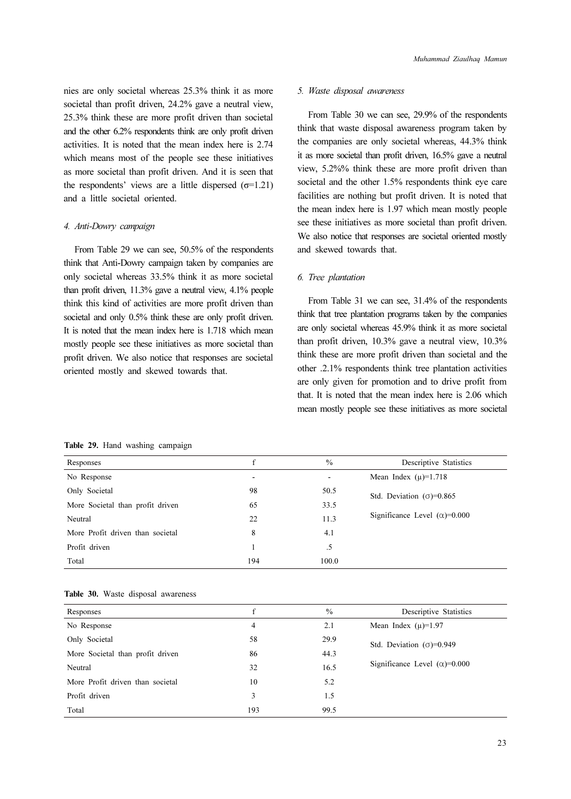nies are only societal whereas 25.3% think it as more societal than profit driven, 24.2% gave a neutral view, 25.3% think these are more profit driven than societal and the other 6.2% respondents think are only profit driven activities. It is noted that the mean index here is 2.74 which means most of the people see these initiatives as more societal than profit driven. And it is seen that the respondents' views are a little dispersed  $(σ=1.21)$ and a little societal oriented.

### 4. Anti-Dowry campaign

From Table 29 we can see, 50.5% of the respondents think that Anti-Dowry campaign taken by companies are only societal whereas 33.5% think it as more societal than profit driven, 11.3% gave a neutral view, 4.1% people think this kind of activities are more profit driven than societal and only  $0.5\%$  think these are only profit driven. It is noted that the mean index here is 1.718 which mean mostly people see these initiatives as more societal than profit driven. We also notice that responses are societal oriented mostly and skewed towards that.

### 5. Waste disposal awareness

From Table 30 we can see, 29.9% of the respondents think that waste disposal awareness program taken by the companies are only societal whereas, 44.3% think it as more societal than profit driven, 16.5% gave a neutral view, 5.2%% think these are more profit driven than societal and the other 1.5% respondents think eye care facilities are nothing but profit driven. It is noted that the mean index here is 1.97 which mean mostly people see these initiatives as more societal than profit driven. We also notice that responses are societal oriented mostly and skewed towards that.

### 6. Tree plantation

From Table 31 we can see, 31.4% of the respondents think that tree plantation programs taken by the companies are only societal whereas 45.9% think it as more societal than profit driven, 10.3% gave a neutral view, 10.3% think these are more profit driven than societal and the other .2.1% respondents think tree plantation activities are only given for promotion and to drive profit from that. It is noted that the mean index here is 2.06 which mean mostly people see these initiatives as more societal

Table 29. Hand washing campaign

| Responses                        | f                            | $\frac{0}{0}$ | Descriptive Statistics                |
|----------------------------------|------------------------------|---------------|---------------------------------------|
| No Response                      | $\qquad \qquad \blacksquare$ |               | Mean Index $(\mu)=1.718$              |
| Only Societal                    | 98                           | 50.5          | Std. Deviation $(\sigma) = 0.865$     |
| More Societal than profit driven | 65                           | 33.5          |                                       |
| Neutral                          | 22                           | 11.3          | Significance Level $(\alpha) = 0.000$ |
| More Profit driven than societal | 8                            | 4.1           |                                       |
| Profit driven                    |                              | .5            |                                       |
| Total                            | 194                          | 100.0         |                                       |

|  |  | Table 30. Waste disposal awareness |
|--|--|------------------------------------|
|  |  |                                    |

| Responses                        | £   | $\frac{0}{0}$ | Descriptive Statistics                |
|----------------------------------|-----|---------------|---------------------------------------|
| No Response                      | 4   | 2.1           | Mean Index $(\mu)$ =1.97              |
| Only Societal                    | 58  | 29.9          | Std. Deviation $(\sigma) = 0.949$     |
| More Societal than profit driven | 86  | 44.3          |                                       |
| Neutral                          | 32  | 16.5          | Significance Level $(\alpha) = 0.000$ |
| More Profit driven than societal | 10  | 5.2           |                                       |
| Profit driven                    | 3   | 1.5           |                                       |
| Total                            | 193 | 99.5          |                                       |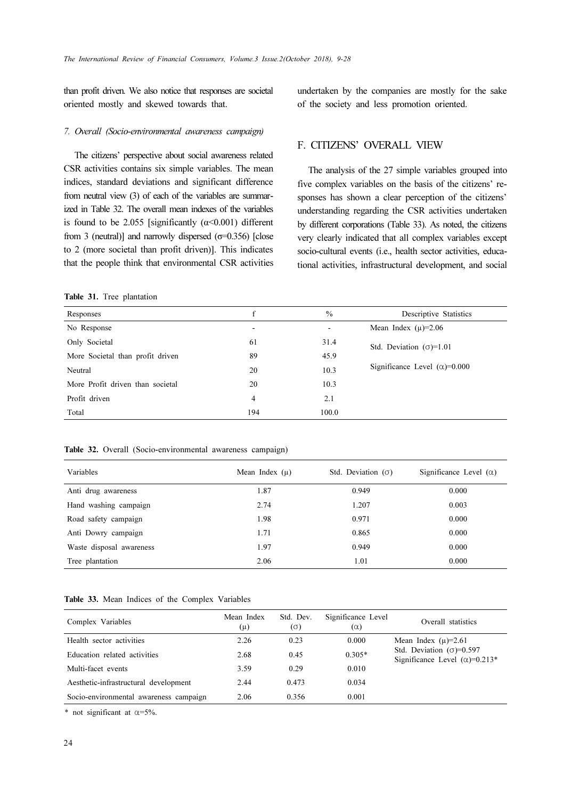than profit driven. We also notice that responses are societal oriented mostly and skewed towards that.

undertaken by the companies are mostly for the sake of the society and less promotion oriented.

### 7. Overall (Socio-environmental awareness campaign)

The citizens' perspective about social awareness related CSR activities contains six simple variables. The mean indices, standard deviations and significant difference from neutral view (3) of each of the variables are summarized in Table 32. The overall mean indexes of the variables is found to be 2.055 [significantly  $(\alpha < 0.001)$  different from 3 (neutral)] and narrowly dispersed  $(\sigma=0.356)$  [close to 2 (more societal than profit driven)]. This indicates that the people think that environmental CSR activities

### Table 31. Tree plantation

F. CITIZENS' OVERALL VIEW

The analysis of the 27 simple variables grouped into five complex variables on the basis of the citizens' responses has shown a clear perception of the citizens' understanding regarding the CSR activities undertaken by different corporations (Table 33). As noted, the citizens very clearly indicated that all complex variables except socio-cultural events (i.e., health sector activities, educational activities, infrastructural development, and social

| Responses                        | f                        | $\frac{0}{0}$ | Descriptive Statistics                |
|----------------------------------|--------------------------|---------------|---------------------------------------|
| No Response                      | $\overline{\phantom{0}}$ |               | Mean Index $(\mu) = 2.06$             |
| Only Societal                    | 61                       | 31.4          | Std. Deviation $(\sigma)=1.01$        |
| More Societal than profit driven | 89                       | 45.9          |                                       |
| Neutral                          | 20                       | 10.3          | Significance Level $(\alpha) = 0.000$ |
| More Profit driven than societal | 20                       | 10.3          |                                       |
| Profit driven                    | 4                        | 2.1           |                                       |
| Total                            | 194                      | 100.0         |                                       |
|                                  |                          |               |                                       |

|  | Table 32. Overall (Socio-environmental awareness campaign) |  |
|--|------------------------------------------------------------|--|
|  |                                                            |  |

| Variables                | Mean Index $(\mu)$ | Std. Deviation $(\sigma)$ | Significance Level $(\alpha)$ |
|--------------------------|--------------------|---------------------------|-------------------------------|
| Anti drug awareness      | 1.87               | 0.949                     | 0.000                         |
| Hand washing campaign    | 2.74               | 1.207                     | 0.003                         |
| Road safety campaign     | 1.98               | 0.971                     | 0.000                         |
| Anti Dowry campaign      | 1.71               | 0.865                     | 0.000                         |
| Waste disposal awareness | 1.97               | 0.949                     | 0.000                         |
| Tree plantation          | 2.06               | 1.01                      | 0.000                         |

### Table 33. Mean Indices of the Complex Variables

| Complex Variables                      | Mean Index<br>$(\mu)$ | Std. Dev.<br>$(\sigma)$ | Significance Level<br>$(\alpha)$ | Overall statistics                                                          |
|----------------------------------------|-----------------------|-------------------------|----------------------------------|-----------------------------------------------------------------------------|
| Health sector activities               | 2.26                  | 0.23                    | 0.000                            | Mean Index $(\mu) = 2.61$                                                   |
| Education related activities           | 2.68                  | 0.45                    | $0.305*$                         | Std. Deviation $(\sigma) = 0.597$<br>Significance Level ( $\alpha$ )=0.213* |
| Multi-facet events                     | 3.59                  | 0.29                    | 0.010                            |                                                                             |
| Aesthetic-infrastructural development  | 2.44                  | 0.473                   | 0.034                            |                                                                             |
| Socio-environmental awareness campaign | 2.06                  | 0.356                   | 0.001                            |                                                                             |

\* not significant at  $\alpha$ =5%.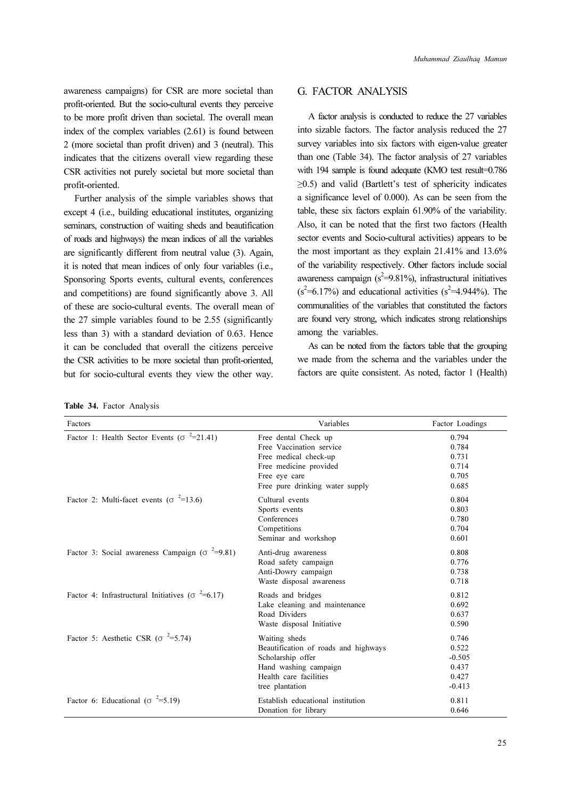awareness campaigns) for CSR are more societal than profit-oriented. But the socio-cultural events they perceive to be more profit driven than societal. The overall mean index of the complex variables (2.61) is found between 2 (more societal than profit driven) and 3 (neutral). This indicates that the citizens overall view regarding these CSR activities not purely societal but more societal than profit-oriented.

Further analysis of the simple variables shows that except 4 (i.e., building educational institutes, organizing seminars, construction of waiting sheds and beautification of roads and highways) the mean indices of all the variables are significantly different from neutral value (3). Again, it is noted that mean indices of only four variables (i.e., Sponsoring Sports events, cultural events, conferences and competitions) are found significantly above 3. All of these are socio-cultural events. The overall mean of the 27 simple variables found to be 2.55 (significantly less than 3) with a standard deviation of 0.63. Hence it can be concluded that overall the citizens perceive the CSR activities to be more societal than profit-oriented, but for socio-cultural events they view the other way.

|  | Table 34. Factor Analysis |
|--|---------------------------|
|  |                           |

## G. FACTOR ANALYSIS

A factor analysis is conducted to reduce the 27 variables into sizable factors. The factor analysis reduced the 27 survey variables into six factors with eigen-value greater than one (Table 34). The factor analysis of 27 variables with 194 sample is found adequate (KMO test result=0.786 ≥0.5) and valid (Bartlett's test of sphericity indicates a significance level of 0.000). As can be seen from the table, these six factors explain 61.90% of the variability. Also, it can be noted that the first two factors (Health sector events and Socio-cultural activities) appears to be the most important as they explain 21.41% and 13.6% of the variability respectively. Other factors include social awareness campaign  $(s^2=9.81\%)$ , infrastructural initiatives  $(s^2=6.17\%)$  and educational activities  $(s^2=4.944\%)$ . The communalities of the variables that constituted the factors are found very strong, which indicates strong relationships among the variables.

As can be noted from the factors table that the grouping we made from the schema and the variables under the factors are quite consistent. As noted, factor 1 (Health)

| Factors                                                              | Variables                            | Factor Loadings |
|----------------------------------------------------------------------|--------------------------------------|-----------------|
| Factor 1: Health Sector Events ( $\sigma$ <sup>2</sup> =21.41)       | Free dental Check up                 | 0.794           |
|                                                                      | Free Vaccination service             | 0.784           |
|                                                                      | Free medical check-up                | 0.731           |
|                                                                      | Free medicine provided               | 0.714           |
|                                                                      | Free eye care                        | 0.705           |
|                                                                      | Free pure drinking water supply      | 0.685           |
| Factor 2: Multi-facet events ( $\sigma$ <sup>2</sup> =13.6)          | Cultural events                      | 0.804           |
|                                                                      | Sports events                        | 0.803           |
|                                                                      | Conferences                          | 0.780           |
|                                                                      | Competitions                         | 0.704           |
|                                                                      | Seminar and workshop                 | 0.601           |
| Factor 3: Social awareness Campaign ( $\sigma$ =9.81)                | Anti-drug awareness                  | 0.808           |
|                                                                      | Road safety campaign                 | 0.776           |
|                                                                      | Anti-Dowry campaign                  | 0.738           |
|                                                                      | Waste disposal awareness             | 0.718           |
| Factor 4: Infrastructural Initiatives ( $\sigma$ <sup>2</sup> =6.17) | Roads and bridges                    | 0.812           |
|                                                                      | Lake cleaning and maintenance        | 0.692           |
|                                                                      | Road Dividers                        | 0.637           |
|                                                                      | Waste disposal Initiative            | 0.590           |
| Factor 5: Aesthetic CSR ( $\sigma$ <sup>2</sup> =5.74)               | Waiting sheds                        | 0.746           |
|                                                                      | Beautification of roads and highways | 0.522           |
|                                                                      | Scholarship offer                    | $-0.505$        |
|                                                                      | Hand washing campaign                | 0.437           |
|                                                                      | Health care facilities               | 0.427           |
|                                                                      | tree plantation                      | $-0.413$        |
| Factor 6: Educational ( $\sigma$ <sup>2</sup> =5.19)                 | Establish educational institution    | 0.811           |
|                                                                      | Donation for library                 | 0.646           |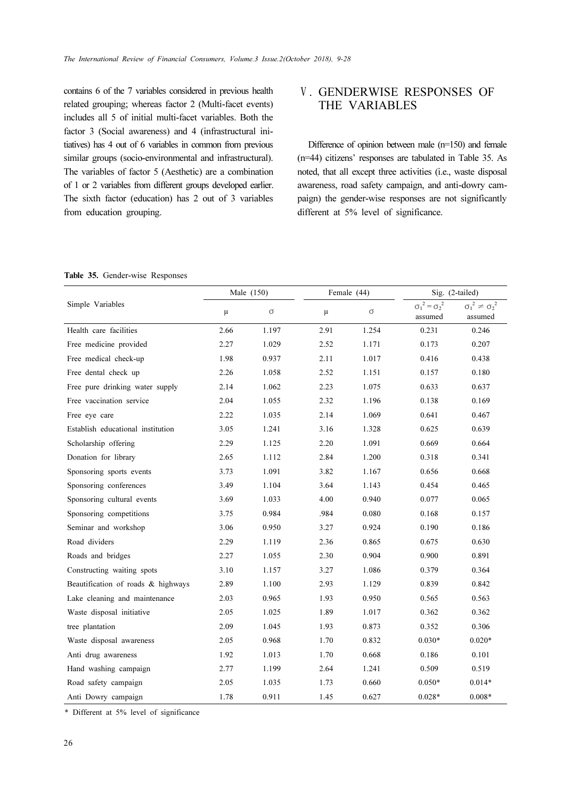contains 6 of the 7 variables considered in previous health related grouping; whereas factor 2 (Multi-facet events) includes all 5 of initial multi-facet variables. Both the factor 3 (Social awareness) and 4 (infrastructural initiatives) has 4 out of 6 variables in common from previous similar groups (socio-environmental and infrastructural). The variables of factor 5 (Aesthetic) are a combination of 1 or 2 variables from different groups developed earlier. The sixth factor (education) has 2 out of 3 variables from education grouping.

# Ⅴ. GENDERWISE RESPONSES OF THE VARIABLES

Difference of opinion between male (n=150) and female (n=44) citizens' responses are tabulated in Table 35. As noted, that all except three activities (i.e., waste disposal awareness, road safety campaign, and anti-dowry campaign) the gender-wise responses are not significantly different at 5% level of significance.

|  | Table 35. Gender-wise Responses |  |
|--|---------------------------------|--|
|  |                                 |  |

|                                    | Male (150) |          | Female (44) |          | Sig. (2-tailed)                      |                                             |
|------------------------------------|------------|----------|-------------|----------|--------------------------------------|---------------------------------------------|
| Simple Variables                   | μ          | $\sigma$ | μ           | $\sigma$ | $\sigma_1^2 = \sigma_2^2$<br>assumed | ${\sigma_1}^2 \neq {\sigma_2}^2$<br>assumed |
| Health care facilities             | 2.66       | 1.197    | 2.91        | 1.254    | 0.231                                | 0.246                                       |
| Free medicine provided             | 2.27       | 1.029    | 2.52        | 1.171    | 0.173                                | 0.207                                       |
| Free medical check-up              | 1.98       | 0.937    | 2.11        | 1.017    | 0.416                                | 0.438                                       |
| Free dental check up               | 2.26       | 1.058    | 2.52        | 1.151    | 0.157                                | 0.180                                       |
| Free pure drinking water supply    | 2.14       | 1.062    | 2.23        | 1.075    | 0.633                                | 0.637                                       |
| Free vaccination service           | 2.04       | 1.055    | 2.32        | 1.196    | 0.138                                | 0.169                                       |
| Free eye care                      | 2.22       | 1.035    | 2.14        | 1.069    | 0.641                                | 0.467                                       |
| Establish educational institution  | 3.05       | 1.241    | 3.16        | 1.328    | 0.625                                | 0.639                                       |
| Scholarship offering               | 2.29       | 1.125    | 2.20        | 1.091    | 0.669                                | 0.664                                       |
| Donation for library               | 2.65       | 1.112    | 2.84        | 1.200    | 0.318                                | 0.341                                       |
| Sponsoring sports events           | 3.73       | 1.091    | 3.82        | 1.167    | 0.656                                | 0.668                                       |
| Sponsoring conferences             | 3.49       | 1.104    | 3.64        | 1.143    | 0.454                                | 0.465                                       |
| Sponsoring cultural events         | 3.69       | 1.033    | 4.00        | 0.940    | 0.077                                | 0.065                                       |
| Sponsoring competitions            | 3.75       | 0.984    | .984        | 0.080    | 0.168                                | 0.157                                       |
| Seminar and workshop               | 3.06       | 0.950    | 3.27        | 0.924    | 0.190                                | 0.186                                       |
| Road dividers                      | 2.29       | 1.119    | 2.36        | 0.865    | 0.675                                | 0.630                                       |
| Roads and bridges                  | 2.27       | 1.055    | 2.30        | 0.904    | 0.900                                | 0.891                                       |
| Constructing waiting spots         | 3.10       | 1.157    | 3.27        | 1.086    | 0.379                                | 0.364                                       |
| Beautification of roads & highways | 2.89       | 1.100    | 2.93        | 1.129    | 0.839                                | 0.842                                       |
| Lake cleaning and maintenance      | 2.03       | 0.965    | 1.93        | 0.950    | 0.565                                | 0.563                                       |
| Waste disposal initiative          | 2.05       | 1.025    | 1.89        | 1.017    | 0.362                                | 0.362                                       |
| tree plantation                    | 2.09       | 1.045    | 1.93        | 0.873    | 0.352                                | 0.306                                       |
| Waste disposal awareness           | 2.05       | 0.968    | 1.70        | 0.832    | $0.030*$                             | $0.020*$                                    |
| Anti drug awareness                | 1.92       | 1.013    | 1.70        | 0.668    | 0.186                                | 0.101                                       |
| Hand washing campaign              | 2.77       | 1.199    | 2.64        | 1.241    | 0.509                                | 0.519                                       |
| Road safety campaign               | 2.05       | 1.035    | 1.73        | 0.660    | $0.050*$                             | $0.014*$                                    |
| Anti Dowry campaign                | 1.78       | 0.911    | 1.45        | 0.627    | $0.028*$                             | $0.008*$                                    |

\* Different at 5% level of significance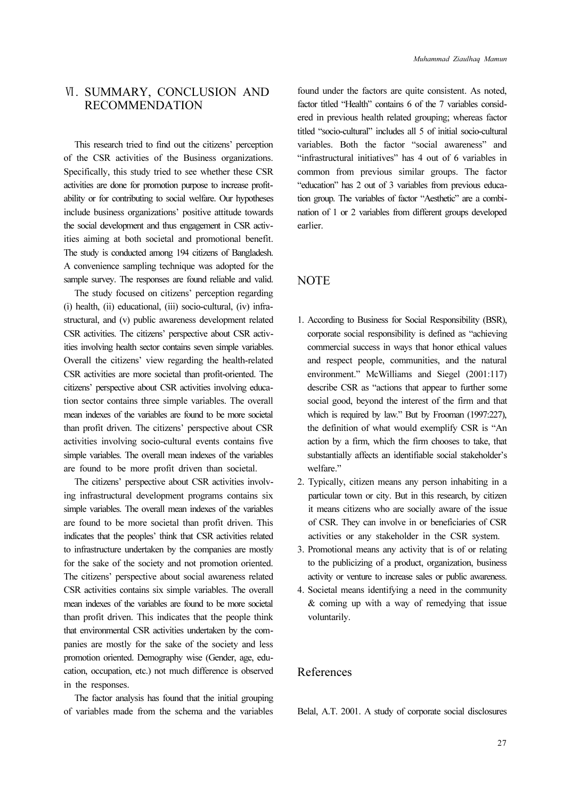# Ⅵ. SUMMARY, CONCLUSION AND RECOMMENDATION

This research tried to find out the citizens' perception of the CSR activities of the Business organizations. Specifically, this study tried to see whether these CSR activities are done for promotion purpose to increase profitability or for contributing to social welfare. Our hypotheses include business organizations' positive attitude towards the social development and thus engagement in CSR activities aiming at both societal and promotional benefit. The study is conducted among 194 citizens of Bangladesh. A convenience sampling technique was adopted for the sample survey. The responses are found reliable and valid.

The study focused on citizens' perception regarding (i) health, (ii) educational, (iii) socio-cultural, (iv) infrastructural, and (v) public awareness development related CSR activities. The citizens' perspective about CSR activities involving health sector contains seven simple variables. Overall the citizens' view regarding the health-related CSR activities are more societal than profit-oriented. The citizens' perspective about CSR activities involving education sector contains three simple variables. The overall mean indexes of the variables are found to be more societal than profit driven. The citizens' perspective about CSR activities involving socio-cultural events contains five simple variables. The overall mean indexes of the variables are found to be more profit driven than societal.

The citizens' perspective about CSR activities involving infrastructural development programs contains six simple variables. The overall mean indexes of the variables are found to be more societal than profit driven. This indicates that the peoples' think that CSR activities related to infrastructure undertaken by the companies are mostly for the sake of the society and not promotion oriented. The citizens' perspective about social awareness related CSR activities contains six simple variables. The overall mean indexes of the variables are found to be more societal than profit driven. This indicates that the people think that environmental CSR activities undertaken by the companies are mostly for the sake of the society and less promotion oriented. Demography wise (Gender, age, education, occupation, etc.) not much difference is observed in the responses.

The factor analysis has found that the initial grouping of variables made from the schema and the variables found under the factors are quite consistent. As noted, factor titled "Health" contains 6 of the 7 variables considered in previous health related grouping; whereas factor titled "socio-cultural" includes all 5 of initial socio-cultural variables. Both the factor "social awareness" and "infrastructural initiatives" has 4 out of 6 variables in common from previous similar groups. The factor "education" has 2 out of 3 variables from previous education group. The variables of factor "Aesthetic" are a combination of 1 or 2 variables from different groups developed earlier.

## **NOTE**

- 1. According to Business for Social Responsibility (BSR), corporate social responsibility is defined as "achieving commercial success in ways that honor ethical values and respect people, communities, and the natural environment." McWilliams and Siegel (2001:117) describe CSR as "actions that appear to further some social good, beyond the interest of the firm and that which is required by law." But by Frooman (1997:227), the definition of what would exemplify CSR is "An action by a firm, which the firm chooses to take, that substantially affects an identifiable social stakeholder's welfare."
- 2. Typically, citizen means any person inhabiting in a particular town or city. But in this research, by citizen it means citizens who are socially aware of the issue of CSR. They can involve in or beneficiaries of CSR activities or any stakeholder in the CSR system.
- 3. Promotional means any activity that is of or relating to the publicizing of a product, organization, business activity or venture to increase sales or public awareness.
- 4. Societal means identifying a need in the community & coming up with a way of remedying that issue voluntarily.

# References

Belal, A.T. 2001. A study of corporate social disclosures